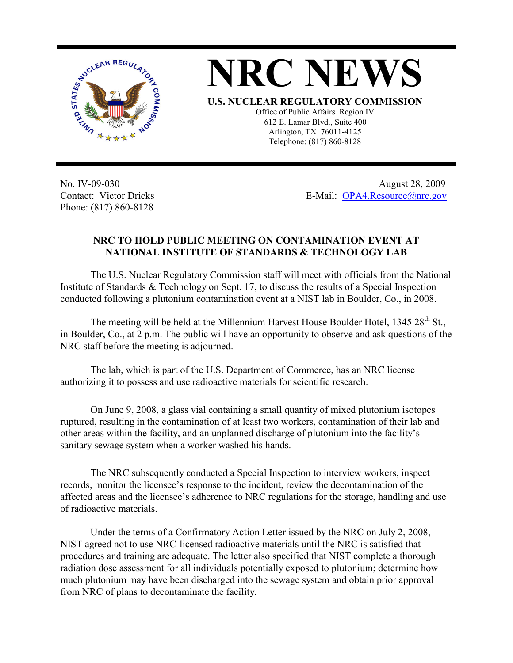



No. IV-09-030 Contact: Victor Dricks Phone: (817) 860-8128

 August 28, 2009 E-Mail: OPA4.Resource@nrc.gov

## **NRC TO HOLD PUBLIC MEETING ON CONTAMINATION EVENT AT NATIONAL INSTITUTE OF STANDARDS & TECHNOLOGY LAB**

The U.S. Nuclear Regulatory Commission staff will meet with officials from the National Institute of Standards & Technology on Sept. 17, to discuss the results of a Special Inspection conducted following a plutonium contamination event at a NIST lab in Boulder, Co., in 2008.

The meeting will be held at the Millennium Harvest House Boulder Hotel, 1345 28<sup>th</sup> St., in Boulder, Co., at 2 p.m. The public will have an opportunity to observe and ask questions of the NRC staff before the meeting is adjourned.

The lab, which is part of the U.S. Department of Commerce, has an NRC license authorizing it to possess and use radioactive materials for scientific research.

On June 9, 2008, a glass vial containing a small quantity of mixed plutonium isotopes ruptured, resulting in the contamination of at least two workers, contamination of their lab and other areas within the facility, and an unplanned discharge of plutonium into the facility's sanitary sewage system when a worker washed his hands.

 The NRC subsequently conducted a Special Inspection to interview workers, inspect records, monitor the licensee's response to the incident, review the decontamination of the affected areas and the licensee's adherence to NRC regulations for the storage, handling and use of radioactive materials.

Under the terms of a Confirmatory Action Letter issued by the NRC on July 2, 2008, NIST agreed not to use NRC-licensed radioactive materials until the NRC is satisfied that procedures and training are adequate. The letter also specified that NIST complete a thorough radiation dose assessment for all individuals potentially exposed to plutonium; determine how much plutonium may have been discharged into the sewage system and obtain prior approval from NRC of plans to decontaminate the facility.